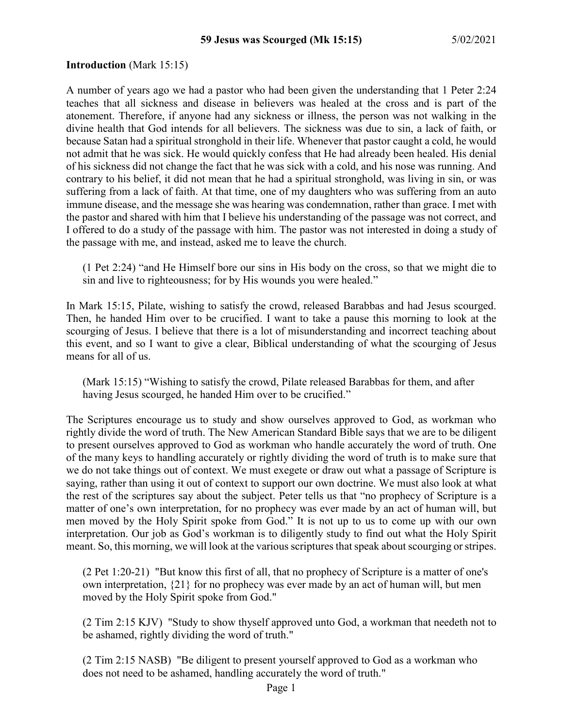#### **Introduction** (Mark 15:15)

A number of years ago we had a pastor who had been given the understanding that 1 Peter 2:24 teaches that all sickness and disease in believers was healed at the cross and is part of the atonement. Therefore, if anyone had any sickness or illness, the person was not walking in the divine health that God intends for all believers. The sickness was due to sin, a lack of faith, or because Satan had a spiritual stronghold in their life. Whenever that pastor caught a cold, he would not admit that he was sick. He would quickly confess that He had already been healed. His denial of his sickness did not change the fact that he was sick with a cold, and his nose was running. And contrary to his belief, it did not mean that he had a spiritual stronghold, was living in sin, or was suffering from a lack of faith. At that time, one of my daughters who was suffering from an auto immune disease, and the message she was hearing was condemnation, rather than grace. I met with the pastor and shared with him that I believe his understanding of the passage was not correct, and I offered to do a study of the passage with him. The pastor was not interested in doing a study of the passage with me, and instead, asked me to leave the church.

(1 Pet 2:24) "and He Himself bore our sins in His body on the cross, so that we might die to sin and live to righteousness; for by His wounds you were healed."

In Mark 15:15, Pilate, wishing to satisfy the crowd, released Barabbas and had Jesus scourged. Then, he handed Him over to be crucified. I want to take a pause this morning to look at the scourging of Jesus. I believe that there is a lot of misunderstanding and incorrect teaching about this event, and so I want to give a clear, Biblical understanding of what the scourging of Jesus means for all of us.

(Mark 15:15) "Wishing to satisfy the crowd, Pilate released Barabbas for them, and after having Jesus scourged, he handed Him over to be crucified."

The Scriptures encourage us to study and show ourselves approved to God, as workman who rightly divide the word of truth. The New American Standard Bible says that we are to be diligent to present ourselves approved to God as workman who handle accurately the word of truth. One of the many keys to handling accurately or rightly dividing the word of truth is to make sure that we do not take things out of context. We must exegete or draw out what a passage of Scripture is saying, rather than using it out of context to support our own doctrine. We must also look at what the rest of the scriptures say about the subject. Peter tells us that "no prophecy of Scripture is a matter of one's own interpretation, for no prophecy was ever made by an act of human will, but men moved by the Holy Spirit spoke from God." It is not up to us to come up with our own interpretation. Our job as God's workman is to diligently study to find out what the Holy Spirit meant. So, this morning, we will look at the various scriptures that speak about scourging or stripes.

(2 Pet 1:20-21) "But know this first of all, that no prophecy of Scripture is a matter of one's own interpretation, {21} for no prophecy was ever made by an act of human will, but men moved by the Holy Spirit spoke from God."

(2 Tim 2:15 KJV) "Study to show thyself approved unto God, a workman that needeth not to be ashamed, rightly dividing the word of truth."

(2 Tim 2:15 NASB) "Be diligent to present yourself approved to God as a workman who does not need to be ashamed, handling accurately the word of truth."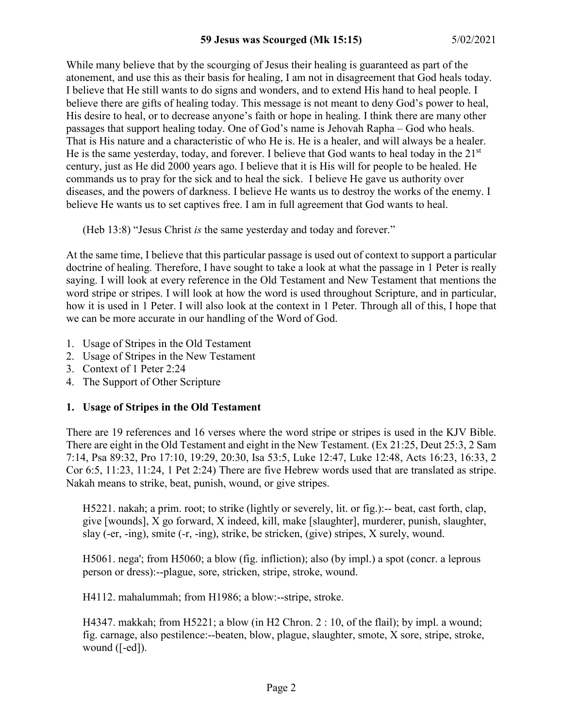While many believe that by the scourging of Jesus their healing is guaranteed as part of the atonement, and use this as their basis for healing, I am not in disagreement that God heals today. I believe that He still wants to do signs and wonders, and to extend His hand to heal people. I believe there are gifts of healing today. This message is not meant to deny God's power to heal, His desire to heal, or to decrease anyone's faith or hope in healing. I think there are many other passages that support healing today. One of God's name is Jehovah Rapha – God who heals. That is His nature and a characteristic of who He is. He is a healer, and will always be a healer. He is the same yesterday, today, and forever. I believe that God wants to heal today in the 21<sup>st</sup> century, just as He did 2000 years ago. I believe that it is His will for people to be healed. He commands us to pray for the sick and to heal the sick. I believe He gave us authority over diseases, and the powers of darkness. I believe He wants us to destroy the works of the enemy. I believe He wants us to set captives free. I am in full agreement that God wants to heal.

(Heb 13:8) "Jesus Christ *is* the same yesterday and today and forever."

At the same time, I believe that this particular passage is used out of context to support a particular doctrine of healing. Therefore, I have sought to take a look at what the passage in 1 Peter is really saying. I will look at every reference in the Old Testament and New Testament that mentions the word stripe or stripes. I will look at how the word is used throughout Scripture, and in particular, how it is used in 1 Peter. I will also look at the context in 1 Peter. Through all of this, I hope that we can be more accurate in our handling of the Word of God.

- 1. Usage of Stripes in the Old Testament
- 2. Usage of Stripes in the New Testament
- 3. Context of 1 Peter 2:24
- 4. The Support of Other Scripture

# **1. Usage of Stripes in the Old Testament**

There are 19 references and 16 verses where the word stripe or stripes is used in the KJV Bible. There are eight in the Old Testament and eight in the New Testament. (Ex 21:25, Deut 25:3, 2 Sam 7:14, Psa 89:32, Pro 17:10, 19:29, 20:30, Isa 53:5, Luke 12:47, Luke 12:48, Acts 16:23, 16:33, 2 Cor 6:5, 11:23, 11:24, 1 Pet 2:24) There are five Hebrew words used that are translated as stripe. Nakah means to strike, beat, punish, wound, or give stripes.

H5221. nakah; a prim. root; to strike (lightly or severely, lit. or fig.):-- beat, cast forth, clap, give [wounds], X go forward, X indeed, kill, make [slaughter], murderer, punish, slaughter, slay (-er, -ing), smite (-r, -ing), strike, be stricken, (give) stripes, X surely, wound.

H5061. nega'; from H5060; a blow (fig. infliction); also (by impl.) a spot (concr. a leprous person or dress):--plague, sore, stricken, stripe, stroke, wound.

H4112. mahalummah; from H1986; a blow:--stripe, stroke.

H4347. makkah; from H5221; a blow (in H2 Chron. 2 : 10, of the flail); by impl. a wound; fig. carnage, also pestilence:--beaten, blow, plague, slaughter, smote, X sore, stripe, stroke, wound ([-ed]).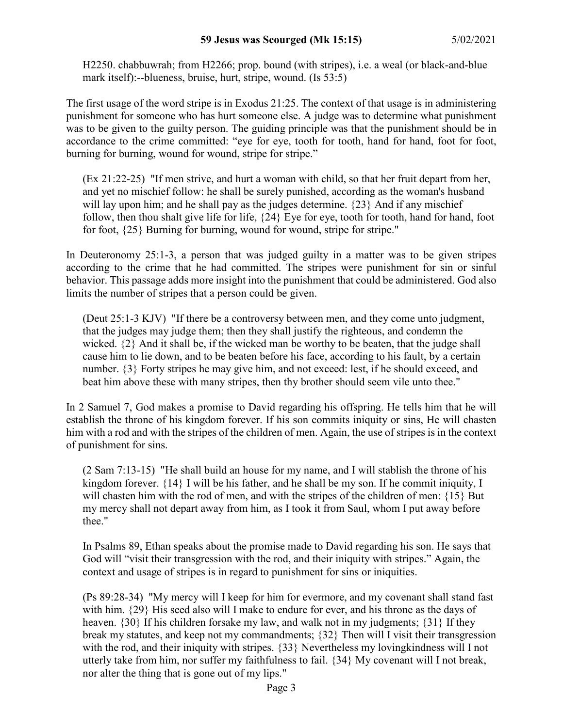H2250. chabbuwrah; from H2266; prop. bound (with stripes), i.e. a weal (or black-and-blue mark itself):--blueness, bruise, hurt, stripe, wound. (Is 53:5)

The first usage of the word stripe is in Exodus 21:25. The context of that usage is in administering punishment for someone who has hurt someone else. A judge was to determine what punishment was to be given to the guilty person. The guiding principle was that the punishment should be in accordance to the crime committed: "eye for eye, tooth for tooth, hand for hand, foot for foot, burning for burning, wound for wound, stripe for stripe."

(Ex 21:22-25) "If men strive, and hurt a woman with child, so that her fruit depart from her, and yet no mischief follow: he shall be surely punished, according as the woman's husband will lay upon him; and he shall pay as the judges determine.  $\{23\}$  And if any mischief follow, then thou shalt give life for life, {24} Eye for eye, tooth for tooth, hand for hand, foot for foot, {25} Burning for burning, wound for wound, stripe for stripe."

In Deuteronomy 25:1-3, a person that was judged guilty in a matter was to be given stripes according to the crime that he had committed. The stripes were punishment for sin or sinful behavior. This passage adds more insight into the punishment that could be administered. God also limits the number of stripes that a person could be given.

(Deut 25:1-3 KJV) "If there be a controversy between men, and they come unto judgment, that the judges may judge them; then they shall justify the righteous, and condemn the wicked. {2} And it shall be, if the wicked man be worthy to be beaten, that the judge shall cause him to lie down, and to be beaten before his face, according to his fault, by a certain number. {3} Forty stripes he may give him, and not exceed: lest, if he should exceed, and beat him above these with many stripes, then thy brother should seem vile unto thee."

In 2 Samuel 7, God makes a promise to David regarding his offspring. He tells him that he will establish the throne of his kingdom forever. If his son commits iniquity or sins, He will chasten him with a rod and with the stripes of the children of men. Again, the use of stripes is in the context of punishment for sins.

(2 Sam 7:13-15) "He shall build an house for my name, and I will stablish the throne of his kingdom forever. {14} I will be his father, and he shall be my son. If he commit iniquity, I will chasten him with the rod of men, and with the stripes of the children of men: {15} But my mercy shall not depart away from him, as I took it from Saul, whom I put away before thee."

In Psalms 89, Ethan speaks about the promise made to David regarding his son. He says that God will "visit their transgression with the rod, and their iniquity with stripes." Again, the context and usage of stripes is in regard to punishment for sins or iniquities.

(Ps 89:28-34) "My mercy will I keep for him for evermore, and my covenant shall stand fast with him. {29} His seed also will I make to endure for ever, and his throne as the days of heaven. {30} If his children forsake my law, and walk not in my judgments; {31} If they break my statutes, and keep not my commandments; {32} Then will I visit their transgression with the rod, and their iniquity with stripes. {33} Nevertheless my lovingkindness will I not utterly take from him, nor suffer my faithfulness to fail. {34} My covenant will I not break, nor alter the thing that is gone out of my lips."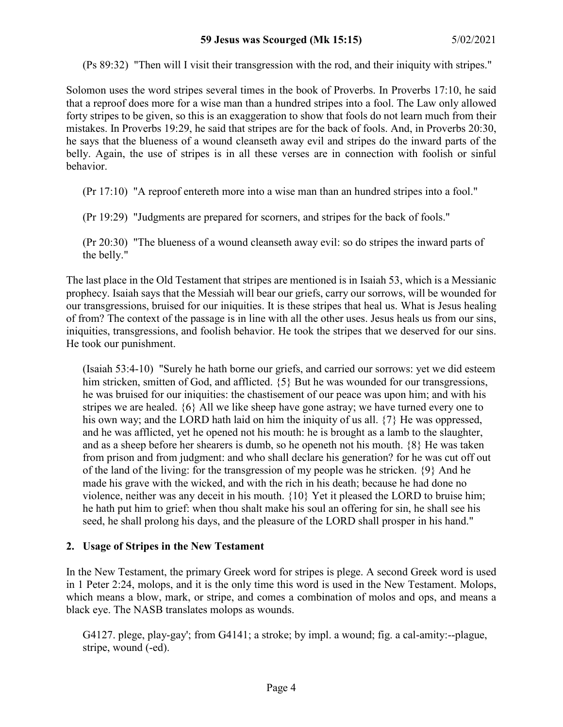(Ps 89:32) "Then will I visit their transgression with the rod, and their iniquity with stripes."

Solomon uses the word stripes several times in the book of Proverbs. In Proverbs 17:10, he said that a reproof does more for a wise man than a hundred stripes into a fool. The Law only allowed forty stripes to be given, so this is an exaggeration to show that fools do not learn much from their mistakes. In Proverbs 19:29, he said that stripes are for the back of fools. And, in Proverbs 20:30, he says that the blueness of a wound cleanseth away evil and stripes do the inward parts of the belly. Again, the use of stripes is in all these verses are in connection with foolish or sinful behavior.

(Pr 17:10) "A reproof entereth more into a wise man than an hundred stripes into a fool."

(Pr 19:29) "Judgments are prepared for scorners, and stripes for the back of fools."

(Pr 20:30) "The blueness of a wound cleanseth away evil: so do stripes the inward parts of the belly."

The last place in the Old Testament that stripes are mentioned is in Isaiah 53, which is a Messianic prophecy. Isaiah says that the Messiah will bear our griefs, carry our sorrows, will be wounded for our transgressions, bruised for our iniquities. It is these stripes that heal us. What is Jesus healing of from? The context of the passage is in line with all the other uses. Jesus heals us from our sins, iniquities, transgressions, and foolish behavior. He took the stripes that we deserved for our sins. He took our punishment.

(Isaiah 53:4-10) "Surely he hath borne our griefs, and carried our sorrows: yet we did esteem him stricken, smitten of God, and afflicted.  $\{5\}$  But he was wounded for our transgressions, he was bruised for our iniquities: the chastisement of our peace was upon him; and with his stripes we are healed. {6} All we like sheep have gone astray; we have turned every one to his own way; and the LORD hath laid on him the iniquity of us all.  $\{7\}$  He was oppressed, and he was afflicted, yet he opened not his mouth: he is brought as a lamb to the slaughter, and as a sheep before her shearers is dumb, so he openeth not his mouth. {8} He was taken from prison and from judgment: and who shall declare his generation? for he was cut off out of the land of the living: for the transgression of my people was he stricken. {9} And he made his grave with the wicked, and with the rich in his death; because he had done no violence, neither was any deceit in his mouth. {10} Yet it pleased the LORD to bruise him; he hath put him to grief: when thou shalt make his soul an offering for sin, he shall see his seed, he shall prolong his days, and the pleasure of the LORD shall prosper in his hand."

#### **2. Usage of Stripes in the New Testament**

In the New Testament, the primary Greek word for stripes is plege. A second Greek word is used in 1 Peter 2:24, molops, and it is the only time this word is used in the New Testament. Molops, which means a blow, mark, or stripe, and comes a combination of molos and ops, and means a black eye. The NASB translates molops as wounds.

G4127. plege, play-gay'; from G4141; a stroke; by impl. a wound; fig. a cal-amity:--plague, stripe, wound (-ed).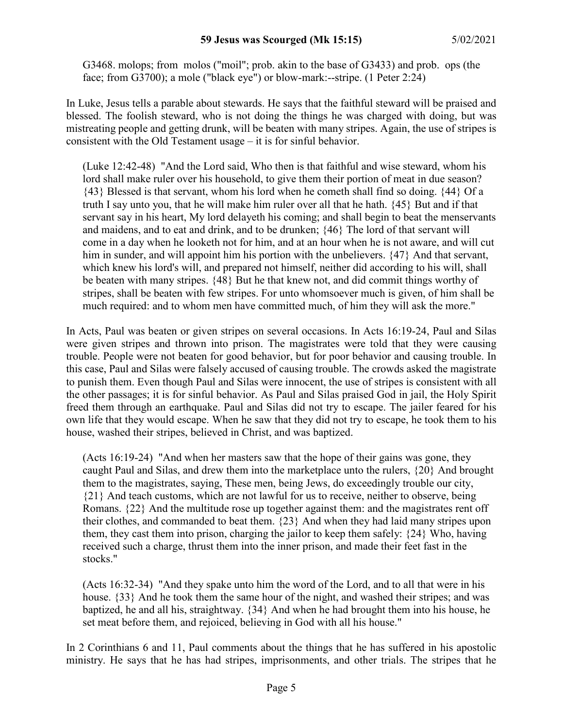G3468. molops; from molos ("moil"; prob. akin to the base of G3433) and prob. ops (the face; from G3700); a mole ("black eye") or blow-mark:--stripe. (1 Peter 2:24)

In Luke, Jesus tells a parable about stewards. He says that the faithful steward will be praised and blessed. The foolish steward, who is not doing the things he was charged with doing, but was mistreating people and getting drunk, will be beaten with many stripes. Again, the use of stripes is consistent with the Old Testament usage – it is for sinful behavior.

(Luke 12:42-48) "And the Lord said, Who then is that faithful and wise steward, whom his lord shall make ruler over his household, to give them their portion of meat in due season? {43} Blessed is that servant, whom his lord when he cometh shall find so doing. {44} Of a truth I say unto you, that he will make him ruler over all that he hath. {45} But and if that servant say in his heart, My lord delayeth his coming; and shall begin to beat the menservants and maidens, and to eat and drink, and to be drunken; {46} The lord of that servant will come in a day when he looketh not for him, and at an hour when he is not aware, and will cut him in sunder, and will appoint him his portion with the unbelievers.  $\{47\}$  And that servant, which knew his lord's will, and prepared not himself, neither did according to his will, shall be beaten with many stripes. {48} But he that knew not, and did commit things worthy of stripes, shall be beaten with few stripes. For unto whomsoever much is given, of him shall be much required: and to whom men have committed much, of him they will ask the more."

In Acts, Paul was beaten or given stripes on several occasions. In Acts 16:19-24, Paul and Silas were given stripes and thrown into prison. The magistrates were told that they were causing trouble. People were not beaten for good behavior, but for poor behavior and causing trouble. In this case, Paul and Silas were falsely accused of causing trouble. The crowds asked the magistrate to punish them. Even though Paul and Silas were innocent, the use of stripes is consistent with all the other passages; it is for sinful behavior. As Paul and Silas praised God in jail, the Holy Spirit freed them through an earthquake. Paul and Silas did not try to escape. The jailer feared for his own life that they would escape. When he saw that they did not try to escape, he took them to his house, washed their stripes, believed in Christ, and was baptized.

(Acts 16:19-24) "And when her masters saw that the hope of their gains was gone, they caught Paul and Silas, and drew them into the marketplace unto the rulers, {20} And brought them to the magistrates, saying, These men, being Jews, do exceedingly trouble our city, {21} And teach customs, which are not lawful for us to receive, neither to observe, being Romans. {22} And the multitude rose up together against them: and the magistrates rent off their clothes, and commanded to beat them. {23} And when they had laid many stripes upon them, they cast them into prison, charging the jailor to keep them safely: {24} Who, having received such a charge, thrust them into the inner prison, and made their feet fast in the stocks."

(Acts 16:32-34) "And they spake unto him the word of the Lord, and to all that were in his house. {33} And he took them the same hour of the night, and washed their stripes; and was baptized, he and all his, straightway. {34} And when he had brought them into his house, he set meat before them, and rejoiced, believing in God with all his house."

In 2 Corinthians 6 and 11, Paul comments about the things that he has suffered in his apostolic ministry. He says that he has had stripes, imprisonments, and other trials. The stripes that he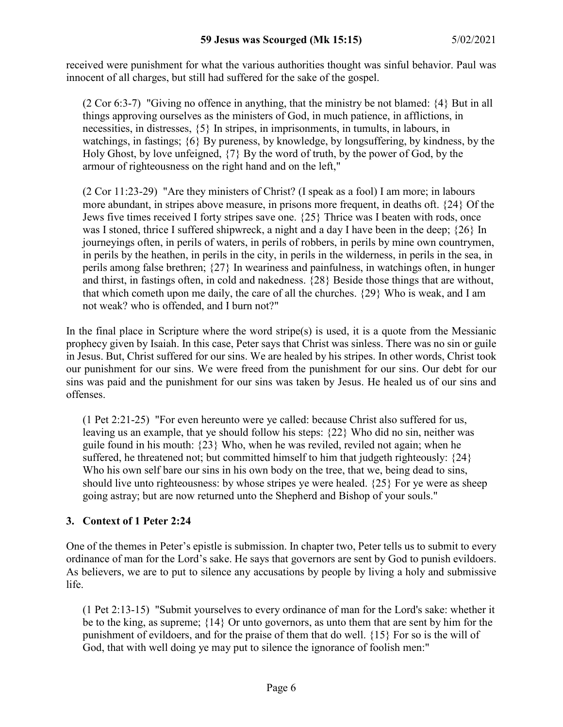received were punishment for what the various authorities thought was sinful behavior. Paul was innocent of all charges, but still had suffered for the sake of the gospel.

(2 Cor 6:3-7) "Giving no offence in anything, that the ministry be not blamed: {4} But in all things approving ourselves as the ministers of God, in much patience, in afflictions, in necessities, in distresses, {5} In stripes, in imprisonments, in tumults, in labours, in watchings, in fastings; {6} By pureness, by knowledge, by longsuffering, by kindness, by the Holy Ghost, by love unfeigned, {7} By the word of truth, by the power of God, by the armour of righteousness on the right hand and on the left,"

(2 Cor 11:23-29) "Are they ministers of Christ? (I speak as a fool) I am more; in labours more abundant, in stripes above measure, in prisons more frequent, in deaths oft. {24} Of the Jews five times received I forty stripes save one. {25} Thrice was I beaten with rods, once was I stoned, thrice I suffered shipwreck, a night and a day I have been in the deep; {26} In journeyings often, in perils of waters, in perils of robbers, in perils by mine own countrymen, in perils by the heathen, in perils in the city, in perils in the wilderness, in perils in the sea, in perils among false brethren; {27} In weariness and painfulness, in watchings often, in hunger and thirst, in fastings often, in cold and nakedness. {28} Beside those things that are without, that which cometh upon me daily, the care of all the churches. {29} Who is weak, and I am not weak? who is offended, and I burn not?"

In the final place in Scripture where the word stripe(s) is used, it is a quote from the Messianic prophecy given by Isaiah. In this case, Peter says that Christ was sinless. There was no sin or guile in Jesus. But, Christ suffered for our sins. We are healed by his stripes. In other words, Christ took our punishment for our sins. We were freed from the punishment for our sins. Our debt for our sins was paid and the punishment for our sins was taken by Jesus. He healed us of our sins and offenses.

(1 Pet 2:21-25) "For even hereunto were ye called: because Christ also suffered for us, leaving us an example, that ye should follow his steps: {22} Who did no sin, neither was guile found in his mouth: {23} Who, when he was reviled, reviled not again; when he suffered, he threatened not; but committed himself to him that judgeth righteously:  $\{24\}$ Who his own self bare our sins in his own body on the tree, that we, being dead to sins, should live unto righteousness: by whose stripes ye were healed. {25} For ye were as sheep going astray; but are now returned unto the Shepherd and Bishop of your souls."

# **3. Context of 1 Peter 2:24**

One of the themes in Peter's epistle is submission. In chapter two, Peter tells us to submit to every ordinance of man for the Lord's sake. He says that governors are sent by God to punish evildoers. As believers, we are to put to silence any accusations by people by living a holy and submissive life.

(1 Pet 2:13-15) "Submit yourselves to every ordinance of man for the Lord's sake: whether it be to the king, as supreme; {14} Or unto governors, as unto them that are sent by him for the punishment of evildoers, and for the praise of them that do well. {15} For so is the will of God, that with well doing ye may put to silence the ignorance of foolish men:"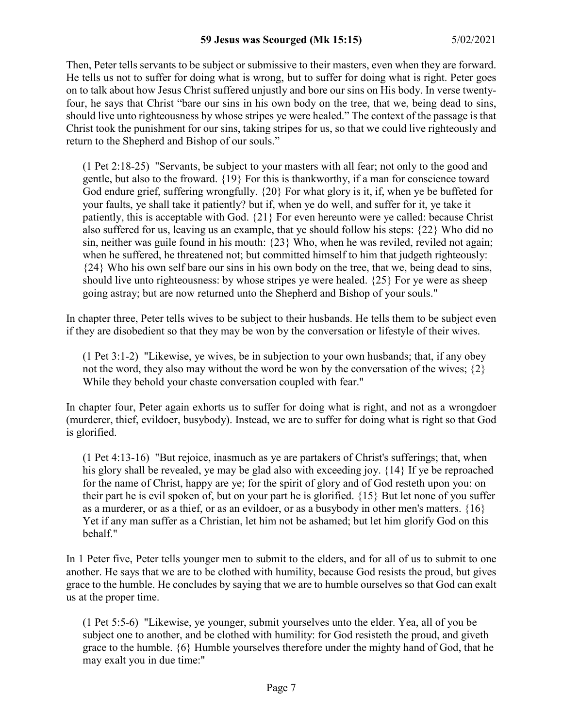Then, Peter tells servants to be subject or submissive to their masters, even when they are forward. He tells us not to suffer for doing what is wrong, but to suffer for doing what is right. Peter goes on to talk about how Jesus Christ suffered unjustly and bore our sins on His body. In verse twentyfour, he says that Christ "bare our sins in his own body on the tree, that we, being dead to sins, should live unto righteousness by whose stripes ye were healed." The context of the passage is that Christ took the punishment for our sins, taking stripes for us, so that we could live righteously and return to the Shepherd and Bishop of our souls."

(1 Pet 2:18-25) "Servants, be subject to your masters with all fear; not only to the good and gentle, but also to the froward. {19} For this is thankworthy, if a man for conscience toward God endure grief, suffering wrongfully. {20} For what glory is it, if, when ye be buffeted for your faults, ye shall take it patiently? but if, when ye do well, and suffer for it, ye take it patiently, this is acceptable with God. {21} For even hereunto were ye called: because Christ also suffered for us, leaving us an example, that ye should follow his steps: {22} Who did no sin, neither was guile found in his mouth: {23} Who, when he was reviled, reviled not again; when he suffered, he threatened not; but committed himself to him that judgeth righteously: {24} Who his own self bare our sins in his own body on the tree, that we, being dead to sins, should live unto righteousness: by whose stripes ye were healed. {25} For ye were as sheep going astray; but are now returned unto the Shepherd and Bishop of your souls."

In chapter three, Peter tells wives to be subject to their husbands. He tells them to be subject even if they are disobedient so that they may be won by the conversation or lifestyle of their wives.

(1 Pet 3:1-2) "Likewise, ye wives, be in subjection to your own husbands; that, if any obey not the word, they also may without the word be won by the conversation of the wives;  $\{2\}$ While they behold your chaste conversation coupled with fear."

In chapter four, Peter again exhorts us to suffer for doing what is right, and not as a wrongdoer (murderer, thief, evildoer, busybody). Instead, we are to suffer for doing what is right so that God is glorified.

(1 Pet 4:13-16) "But rejoice, inasmuch as ye are partakers of Christ's sufferings; that, when his glory shall be revealed, ye may be glad also with exceeding joy. {14} If ye be reproached for the name of Christ, happy are ye; for the spirit of glory and of God resteth upon you: on their part he is evil spoken of, but on your part he is glorified. {15} But let none of you suffer as a murderer, or as a thief, or as an evildoer, or as a busybody in other men's matters.  $\{16\}$ Yet if any man suffer as a Christian, let him not be ashamed; but let him glorify God on this behalf."

In 1 Peter five, Peter tells younger men to submit to the elders, and for all of us to submit to one another. He says that we are to be clothed with humility, because God resists the proud, but gives grace to the humble. He concludes by saying that we are to humble ourselves so that God can exalt us at the proper time.

(1 Pet 5:5-6) "Likewise, ye younger, submit yourselves unto the elder. Yea, all of you be subject one to another, and be clothed with humility: for God resisteth the proud, and giveth grace to the humble. {6} Humble yourselves therefore under the mighty hand of God, that he may exalt you in due time:"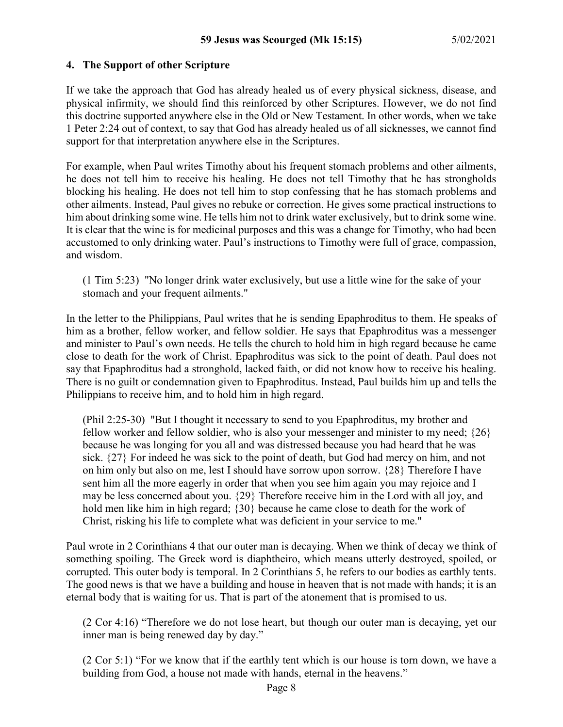#### **4. The Support of other Scripture**

If we take the approach that God has already healed us of every physical sickness, disease, and physical infirmity, we should find this reinforced by other Scriptures. However, we do not find this doctrine supported anywhere else in the Old or New Testament. In other words, when we take 1 Peter 2:24 out of context, to say that God has already healed us of all sicknesses, we cannot find support for that interpretation anywhere else in the Scriptures.

For example, when Paul writes Timothy about his frequent stomach problems and other ailments, he does not tell him to receive his healing. He does not tell Timothy that he has strongholds blocking his healing. He does not tell him to stop confessing that he has stomach problems and other ailments. Instead, Paul gives no rebuke or correction. He gives some practical instructions to him about drinking some wine. He tells him not to drink water exclusively, but to drink some wine. It is clear that the wine is for medicinal purposes and this was a change for Timothy, who had been accustomed to only drinking water. Paul's instructions to Timothy were full of grace, compassion, and wisdom.

(1 Tim 5:23) "No longer drink water exclusively, but use a little wine for the sake of your stomach and your frequent ailments."

In the letter to the Philippians, Paul writes that he is sending Epaphroditus to them. He speaks of him as a brother, fellow worker, and fellow soldier. He says that Epaphroditus was a messenger and minister to Paul's own needs. He tells the church to hold him in high regard because he came close to death for the work of Christ. Epaphroditus was sick to the point of death. Paul does not say that Epaphroditus had a stronghold, lacked faith, or did not know how to receive his healing. There is no guilt or condemnation given to Epaphroditus. Instead, Paul builds him up and tells the Philippians to receive him, and to hold him in high regard.

(Phil 2:25-30) "But I thought it necessary to send to you Epaphroditus, my brother and fellow worker and fellow soldier, who is also your messenger and minister to my need;  $\{26\}$ because he was longing for you all and was distressed because you had heard that he was sick. {27} For indeed he was sick to the point of death, but God had mercy on him, and not on him only but also on me, lest I should have sorrow upon sorrow. {28} Therefore I have sent him all the more eagerly in order that when you see him again you may rejoice and I may be less concerned about you. {29} Therefore receive him in the Lord with all joy, and hold men like him in high regard; {30} because he came close to death for the work of Christ, risking his life to complete what was deficient in your service to me."

Paul wrote in 2 Corinthians 4 that our outer man is decaying. When we think of decay we think of something spoiling. The Greek word is diaphtheiro, which means utterly destroyed, spoiled, or corrupted. This outer body is temporal. In 2 Corinthians 5, he refers to our bodies as earthly tents. The good news is that we have a building and house in heaven that is not made with hands; it is an eternal body that is waiting for us. That is part of the atonement that is promised to us.

(2 Cor 4:16) "Therefore we do not lose heart, but though our outer man is decaying, yet our inner man is being renewed day by day."

(2 Cor 5:1) "For we know that if the earthly tent which is our house is torn down, we have a building from God, a house not made with hands, eternal in the heavens."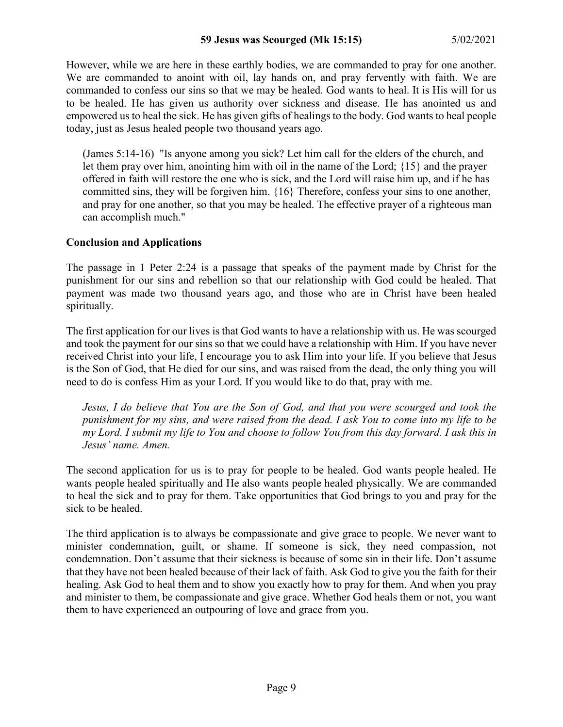However, while we are here in these earthly bodies, we are commanded to pray for one another. We are commanded to anoint with oil, lay hands on, and pray fervently with faith. We are commanded to confess our sins so that we may be healed. God wants to heal. It is His will for us to be healed. He has given us authority over sickness and disease. He has anointed us and empowered us to heal the sick. He has given gifts of healings to the body. God wants to heal people today, just as Jesus healed people two thousand years ago.

(James 5:14-16) "Is anyone among you sick? Let him call for the elders of the church, and let them pray over him, anointing him with oil in the name of the Lord; {15} and the prayer offered in faith will restore the one who is sick, and the Lord will raise him up, and if he has committed sins, they will be forgiven him. {16} Therefore, confess your sins to one another, and pray for one another, so that you may be healed. The effective prayer of a righteous man can accomplish much."

# **Conclusion and Applications**

The passage in 1 Peter 2:24 is a passage that speaks of the payment made by Christ for the punishment for our sins and rebellion so that our relationship with God could be healed. That payment was made two thousand years ago, and those who are in Christ have been healed spiritually.

The first application for our lives is that God wants to have a relationship with us. He was scourged and took the payment for our sins so that we could have a relationship with Him. If you have never received Christ into your life, I encourage you to ask Him into your life. If you believe that Jesus is the Son of God, that He died for our sins, and was raised from the dead, the only thing you will need to do is confess Him as your Lord. If you would like to do that, pray with me.

*Jesus, I do believe that You are the Son of God, and that you were scourged and took the punishment for my sins, and were raised from the dead. I ask You to come into my life to be my Lord. I submit my life to You and choose to follow You from this day forward. I ask this in Jesus' name. Amen.*

The second application for us is to pray for people to be healed. God wants people healed. He wants people healed spiritually and He also wants people healed physically. We are commanded to heal the sick and to pray for them. Take opportunities that God brings to you and pray for the sick to be healed.

The third application is to always be compassionate and give grace to people. We never want to minister condemnation, guilt, or shame. If someone is sick, they need compassion, not condemnation. Don't assume that their sickness is because of some sin in their life. Don't assume that they have not been healed because of their lack of faith. Ask God to give you the faith for their healing. Ask God to heal them and to show you exactly how to pray for them. And when you pray and minister to them, be compassionate and give grace. Whether God heals them or not, you want them to have experienced an outpouring of love and grace from you.